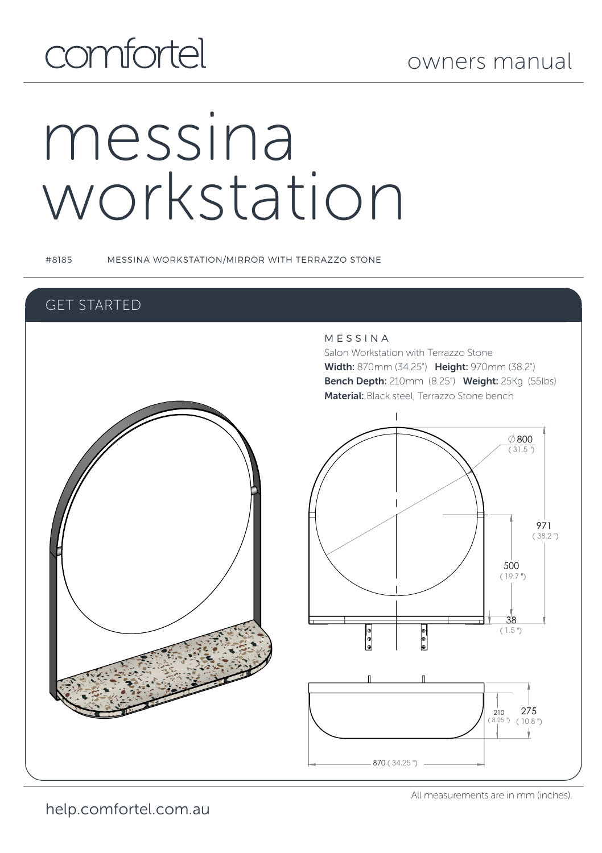# comfortel

# messina workstation

#8185 MESSINA WORKSTATION/MIRROR WITH TERRAZZO STONE

### GET STARTED

### M E S S I N A

Salon Workstation with Terrazzo Stone Width: 870mm (34.25") Height: 970mm (38.2") Bench Depth: 210mm (8.25") Weight: 25Kg (55Ibs) Material: Black steel, Terrazzo Stone bench



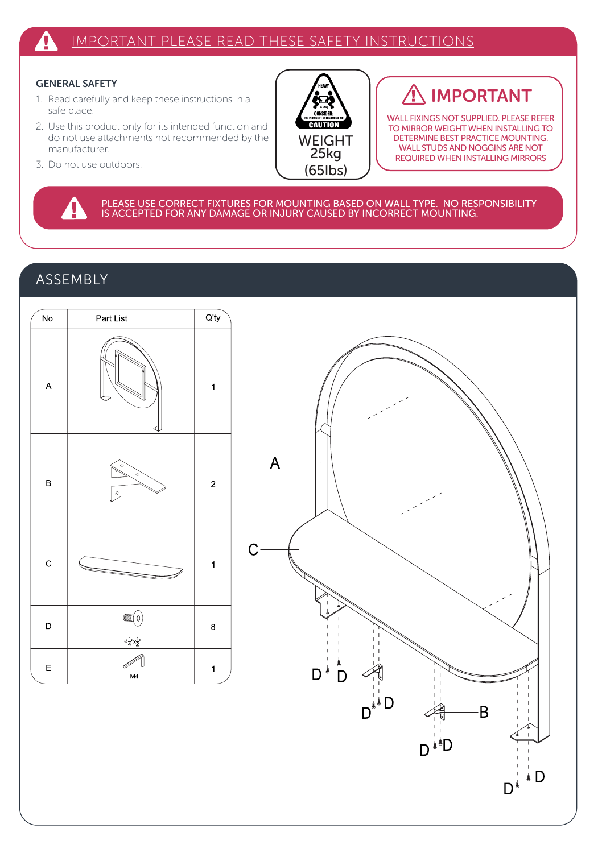### Δ IMPORTANT PLEASE READ THESE SAFETY INSTRUCTIONS

### GENERAL SAFETY

- 1. Read carefully and keep these instructions in a safe place.
- 2. Use this product only for its intended function and do not use attachments not recommended by the manufacturer.
- 3. Do not use outdoors.



## IMPORTANT

WALL FIXINGS NOT SUPPLIED. PLEASE REFER TO MIRROR WEIGHT WHEN INSTALLING TO DETERMINE BEST PRACTICE MOUNTING. WALL STUDS AND NOGGINS ARE NOT REQUIRED WHEN INSTALLING MIRRORS

B

ة i Ŋ۱

PLEASE USE CORRECT FIXTURES FOR MOUNTING BASED ON WALL TYPE. NO RESPONSIBILITY<br>IS ACCEPTED FOR ANY DAMAGE OR INJURY CAUSED BY INCORRECT MOUNTING.

### ASSEMBLY

4

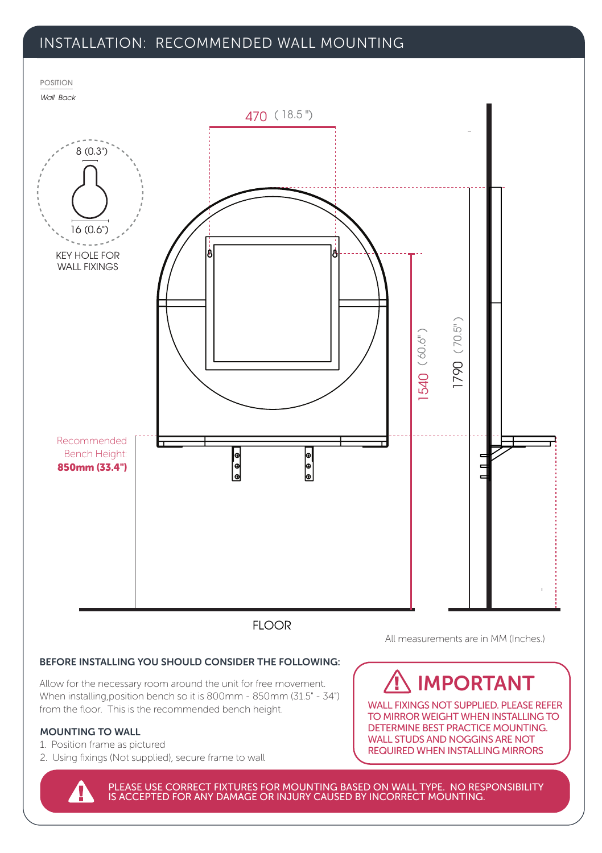### INSTALLATION: RECOMMENDED WALL MOUNTING



### BEFORE INSTALLING YOU SHOULD CONSIDER THE FOLLOWING:

Allow for the necessary room around the unit for free movement. When installing,position bench so it is 800mm - 850mm (31.5" - 34") from the floor. This is the recommended bench height.

### MOUNTING TO WALL

- 1. Position frame as pictured
- 2. Using fixings (Not supplied), secure frame to wall

All measurements are in MM (Inches.)

## IMPORTANT

WALL FIXINGS NOT SUPPLIED. PLEASE REFER TO MIRROR WEIGHT WHEN INSTALLING TO DETERMINE BEST PRACTICE MOUNTING. WALL STUDS AND NOGGINS ARE NOT REQUIRED WHEN INSTALLING MIRRORS

PLEASE USE CORRECT FIXTURES FOR MOUNTING BASED ON WALL TYPE. NO RESPONSIBILITY IS ACCEPTED FOR ANY DAMAGE OR INJURY CAUSED BY INCORRECT MOUNTING.